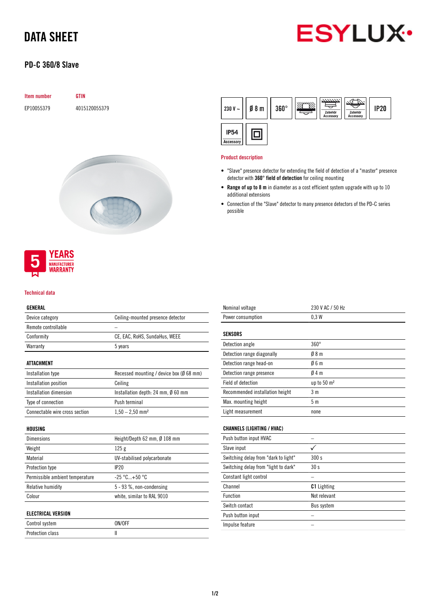# DATA SHEET



## PD-C 360/8 Slave

| <b>Item number</b> | <b>GTIN</b>   |
|--------------------|---------------|
| EP10055379         | 4015120055379 |
|                    |               |





#### Technical data

### GENERAL

| GLNLKAL                         |                                          |  |  |
|---------------------------------|------------------------------------------|--|--|
| Device category                 | Ceiling-mounted presence detector        |  |  |
| Remote controllable             |                                          |  |  |
| Conformity                      | CE, EAC, RoHS, SundaHus, WEEE            |  |  |
| Warranty                        | 5 years                                  |  |  |
| ATTACHMENT                      |                                          |  |  |
| Installation type               | Recessed mounting / device box (Ø 68 mm) |  |  |
| Installation position           | Ceiling                                  |  |  |
| Installation dimension          | Installation depth: 24 mm, Ø 60 mm       |  |  |
| Type of connection              | Push terminal                            |  |  |
| Connectable wire cross section  | $1,50 - 2,50$ mm <sup>2</sup>            |  |  |
| HOUSING                         |                                          |  |  |
| Dimensions                      | Height/Depth 62 mm, Ø 108 mm             |  |  |
| Weight                          | 125 <sub>g</sub>                         |  |  |
| Material                        | UV-stabilised polycarbonate              |  |  |
| <b>Protection type</b>          | IP20                                     |  |  |
| Permissible ambient temperature | $-25 °C+50 °C$                           |  |  |
| Relative humidity               | 5 - 93 %, non-condensing                 |  |  |
| Colour                          | white, similar to RAL 9010               |  |  |
| <b>ELECTRICAL VERSION</b>       |                                          |  |  |
| Control system                  | ON/OFF                                   |  |  |

Protection class II

| Nominal voltage                      | 230 V AC / 50 Hz        |  |
|--------------------------------------|-------------------------|--|
| Power consumption                    | 0.3W                    |  |
|                                      |                         |  |
| <b>SENSORS</b>                       |                         |  |
| Detection angle                      | $360^\circ$             |  |
| Detection range diagonally           | 08 <sub>m</sub>         |  |
| Detection range head-on              | Ø6m                     |  |
| Detection range presence             | Ø4 m                    |  |
| <b>Field of detection</b>            | up to 50 m <sup>2</sup> |  |
| Recommended installation height      | 3 <sub>m</sub>          |  |
| Max. mounting height                 | 5 <sub>m</sub>          |  |
| Light measurement                    | none                    |  |
|                                      |                         |  |
| <b>CHANNELS (LIGHTING / HVAC)</b>    |                         |  |
| Push button input HVAC               | -                       |  |
| Slave input                          |                         |  |
| Switching delay from "dark to light" | 300s                    |  |
| Switching delay from "light to dark" | 30s                     |  |
| Constant light control               |                         |  |
| Channel                              | <b>C1</b> Lighting      |  |
| Function                             | Not relevant            |  |
| Switch contact                       | Bus system              |  |
| Push button input                    |                         |  |
| Impulse feature                      |                         |  |
|                                      |                         |  |



#### Product description

- "Slave" presence detector for extending the field of detection of a "master" presence detector with 360° field of detection for ceiling mounting
- Range of up to 8 m in diameter as a cost efficient system upgrade with up to 10 additional extensions
- Connection of the "Slave" detector to many presence detectors of the PD-C series possible